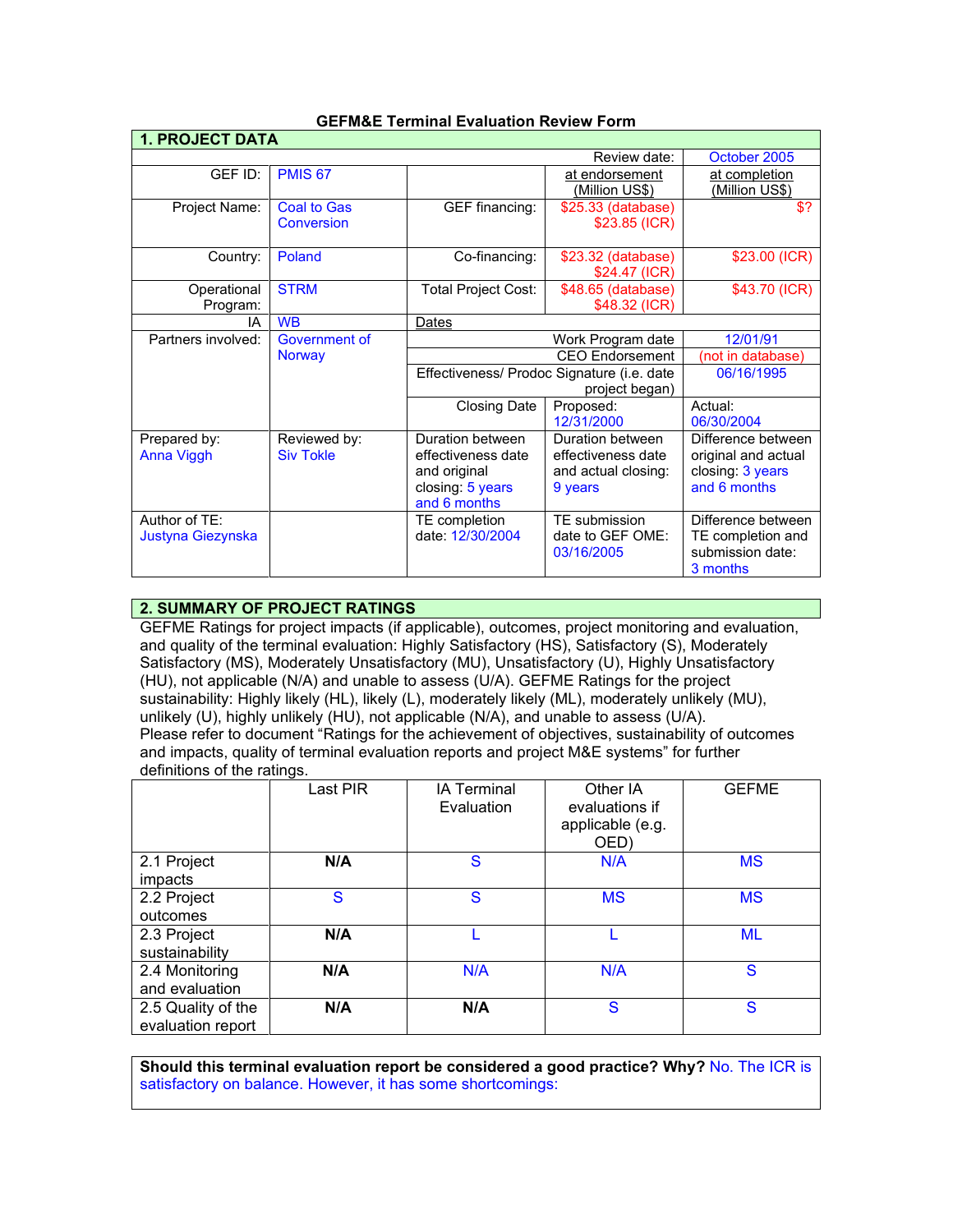| <b>1. PROJECT DATA</b> |                    |                                            |                       |                       |
|------------------------|--------------------|--------------------------------------------|-----------------------|-----------------------|
|                        |                    |                                            | Review date:          | October 2005          |
| GEF ID:                | <b>PMIS 67</b>     |                                            | at endorsement        | at completion         |
|                        |                    |                                            | <u>(Million US\$)</u> | <u>(Million US\$)</u> |
| Project Name:          | <b>Coal to Gas</b> | <b>GEF</b> financing:                      | \$25.33 (database)    | \$?                   |
|                        | Conversion         |                                            | \$23.85 (ICR)         |                       |
| Country:               | Poland             | Co-financing:                              | \$23.32 (database)    | \$23.00 (ICR)         |
|                        |                    |                                            | \$24.47 (ICR)         |                       |
| Operational            | <b>STRM</b>        | Total Project Cost:                        | \$48.65 (database)    | \$43.70 (ICR)         |
| Program:               |                    |                                            | \$48.32 (ICR)         |                       |
| IA                     | <b>WB</b>          | Dates                                      |                       |                       |
| Partners involved:     | Government of      | 12/01/91<br>Work Program date              |                       |                       |
|                        | <b>Norway</b>      |                                            | (not in database)     |                       |
|                        |                    | Effectiveness/ Prodoc Signature (i.e. date |                       | 06/16/1995            |
|                        |                    | project began)                             |                       |                       |
|                        |                    | <b>Closing Date</b>                        | Proposed:             | Actual:               |
|                        |                    |                                            | 12/31/2000            | 06/30/2004            |
| Prepared by:           | Reviewed by:       | Duration between                           | Duration between      | Difference between    |
| Anna Viggh             | <b>Siv Tokle</b>   | effectiveness date                         | effectiveness date    | original and actual   |
|                        |                    | and original                               | and actual closing:   | closing: 3 years      |
|                        |                    | closing: 5 years                           | 9 years               | and 6 months          |
|                        |                    | and 6 months                               |                       |                       |
| Author of TF:          |                    | TE completion                              | TE submission         | Difference between    |
| Justyna Giezynska      |                    | date: 12/30/2004                           | date to GEF OME:      | TE completion and     |
|                        |                    |                                            | 03/16/2005            | submission date:      |
|                        |                    |                                            |                       | 3 months              |

# **GEFM&E Terminal Evaluation Review Form**

# **2. SUMMARY OF PROJECT RATINGS**

GEFME Ratings for project impacts (if applicable), outcomes, project monitoring and evaluation, and quality of the terminal evaluation: Highly Satisfactory (HS), Satisfactory (S), Moderately Satisfactory (MS), Moderately Unsatisfactory (MU), Unsatisfactory (U), Highly Unsatisfactory (HU), not applicable (N/A) and unable to assess (U/A). GEFME Ratings for the project sustainability: Highly likely (HL), likely (L), moderately likely (ML), moderately unlikely (MU), unlikely (U), highly unlikely (HU), not applicable (N/A), and unable to assess (U/A). Please refer to document "Ratings for the achievement of objectives, sustainability of outcomes and impacts, quality of terminal evaluation reports and project M&E systems" for further definitions of the ratings.

|                                         | Last PIR | <b>IA Terminal</b><br>Evaluation | Other IA<br>evaluations if<br>applicable (e.g.<br>OED) | <b>GEFME</b> |
|-----------------------------------------|----------|----------------------------------|--------------------------------------------------------|--------------|
| 2.1 Project<br>impacts                  | N/A      | S                                | N/A                                                    | <b>MS</b>    |
| 2.2 Project<br>outcomes                 | S        | S                                | <b>MS</b>                                              | <b>MS</b>    |
| 2.3 Project<br>sustainability           | N/A      |                                  |                                                        | <b>ML</b>    |
| 2.4 Monitoring<br>and evaluation        | N/A      | N/A                              | N/A                                                    | S            |
| 2.5 Quality of the<br>evaluation report | N/A      | N/A                              | S                                                      | S            |

**Should this terminal evaluation report be considered a good practice? Why?** No. The ICR is satisfactory on balance. However, it has some shortcomings: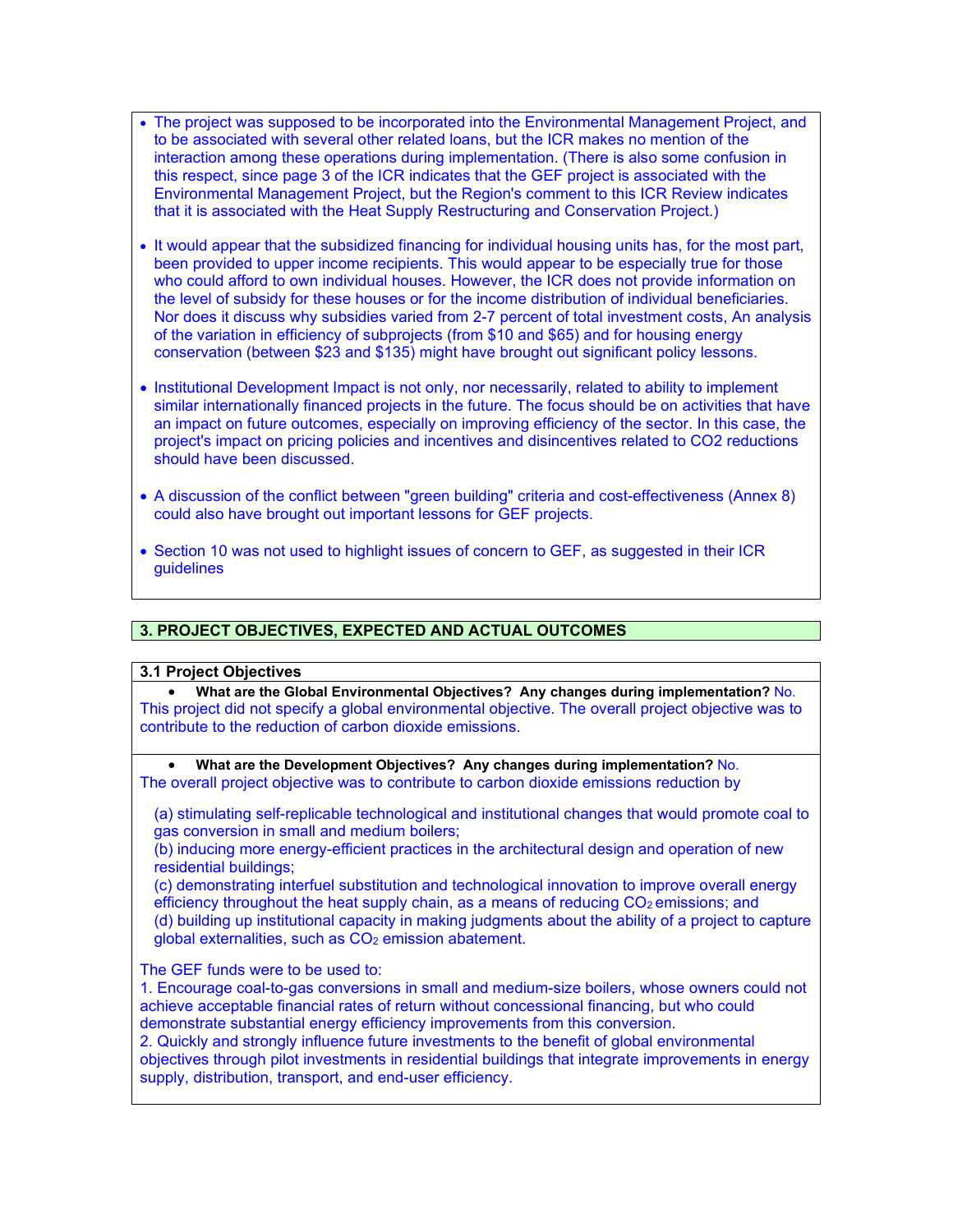- The project was supposed to be incorporated into the Environmental Management Project, and to be associated with several other related loans, but the ICR makes no mention of the interaction among these operations during implementation. (There is also some confusion in this respect, since page 3 of the ICR indicates that the GEF project is associated with the Environmental Management Project, but the Region's comment to this ICR Review indicates that it is associated with the Heat Supply Restructuring and Conservation Project.)
- It would appear that the subsidized financing for individual housing units has, for the most part, been provided to upper income recipients. This would appear to be especially true for those who could afford to own individual houses. However, the ICR does not provide information on the level of subsidy for these houses or for the income distribution of individual beneficiaries. Nor does it discuss why subsidies varied from 2-7 percent of total investment costs, An analysis of the variation in efficiency of subprojects (from \$10 and \$65) and for housing energy conservation (between \$23 and \$135) might have brought out significant policy lessons.
- Institutional Development Impact is not only, nor necessarily, related to ability to implement similar internationally financed projects in the future. The focus should be on activities that have an impact on future outcomes, especially on improving efficiency of the sector. In this case, the project's impact on pricing policies and incentives and disincentives related to CO2 reductions should have been discussed.
- A discussion of the conflict between "green building" criteria and cost-effectiveness (Annex 8) could also have brought out important lessons for GEF projects.
- Section 10 was not used to highlight issues of concern to GEF, as suggested in their ICR **guidelines**

# **3. PROJECT OBJECTIVES, EXPECTED AND ACTUAL OUTCOMES**

## **3.1 Project Objectives**

• **What are the Global Environmental Objectives? Any changes during implementation?** No. This project did not specify a global environmental objective. The overall project objective was to contribute to the reduction of carbon dioxide emissions.

• **What are the Development Objectives? Any changes during implementation?** No. The overall project objective was to contribute to carbon dioxide emissions reduction by

(a) stimulating self-replicable technological and institutional changes that would promote coal to gas conversion in small and medium boilers;

(b) inducing more energy-efficient practices in the architectural design and operation of new residential buildings;

(c) demonstrating interfuel substitution and technological innovation to improve overall energy efficiency throughout the heat supply chain, as a means of reducing  $CO<sub>2</sub>$  emissions; and (d) building up institutional capacity in making judgments about the ability of a project to capture global externalities, such as CO<sub>2</sub> emission abatement.

The GEF funds were to be used to:

1. Encourage coal-to-gas conversions in small and medium-size boilers, whose owners could not achieve acceptable financial rates of return without concessional financing, but who could demonstrate substantial energy efficiency improvements from this conversion.

2. Quickly and strongly influence future investments to the benefit of global environmental objectives through pilot investments in residential buildings that integrate improvements in energy supply, distribution, transport, and end-user efficiency.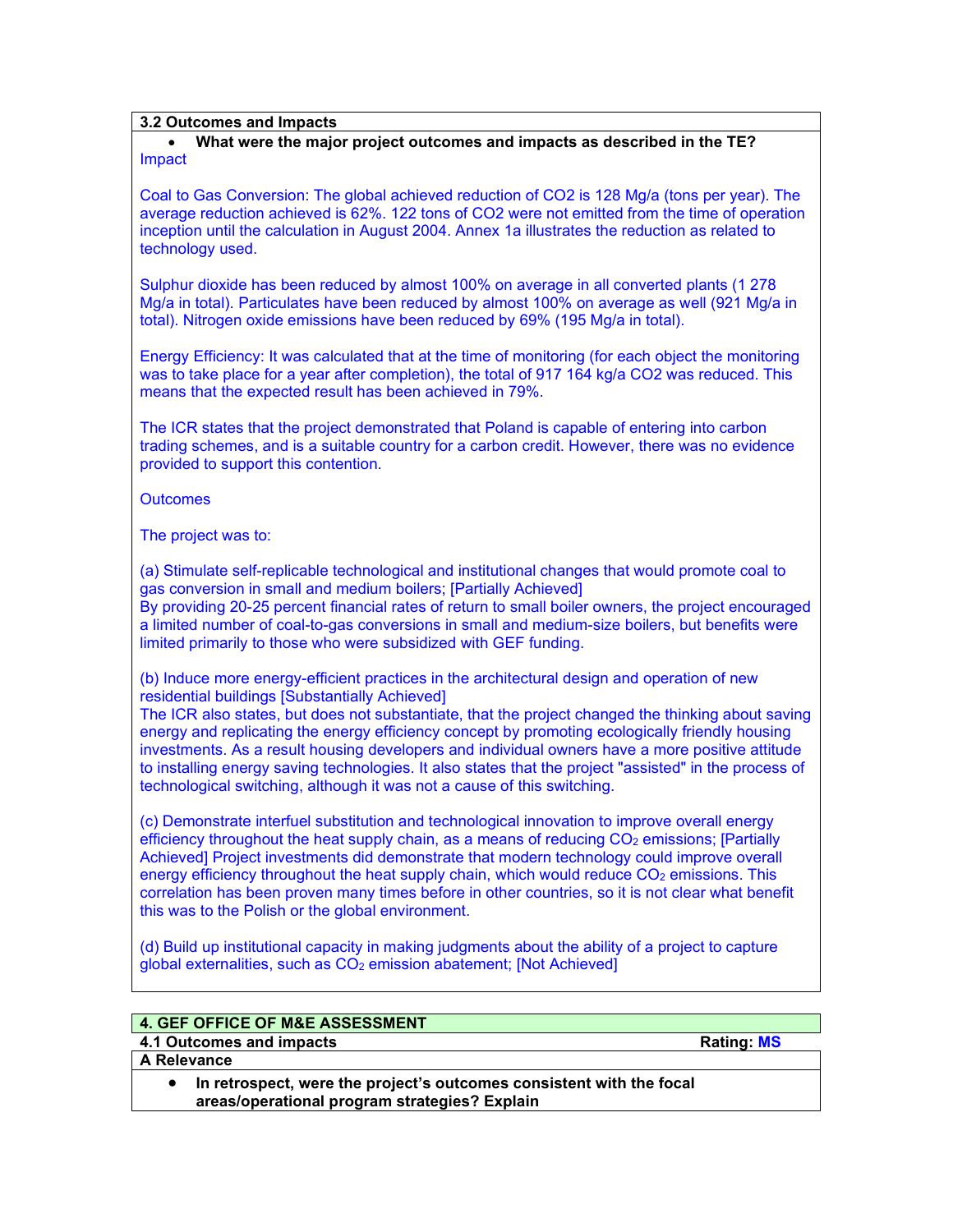## **3.2 Outcomes and Impacts**

### • **What were the major project outcomes and impacts as described in the TE?** Impact

Coal to Gas Conversion: The global achieved reduction of CO2 is 128 Mg/a (tons per year). The average reduction achieved is 62%. 122 tons of CO2 were not emitted from the time of operation inception until the calculation in August 2004. Annex 1a illustrates the reduction as related to technology used.

Sulphur dioxide has been reduced by almost 100% on average in all converted plants (1 278 Mg/a in total). Particulates have been reduced by almost 100% on average as well (921 Mg/a in total). Nitrogen oxide emissions have been reduced by 69% (195 Mg/a in total).

Energy Efficiency: It was calculated that at the time of monitoring (for each object the monitoring was to take place for a year after completion), the total of 917 164 kg/a CO2 was reduced. This means that the expected result has been achieved in 79%.

The ICR states that the project demonstrated that Poland is capable of entering into carbon trading schemes, and is a suitable country for a carbon credit. However, there was no evidence provided to support this contention.

**Outcomes** 

The project was to:

(a) Stimulate self-replicable technological and institutional changes that would promote coal to gas conversion in small and medium boilers; [Partially Achieved] By providing 20-25 percent financial rates of return to small boiler owners, the project encouraged a limited number of coal-to-gas conversions in small and medium-size boilers, but benefits were

limited primarily to those who were subsidized with GEF funding.

(b) Induce more energy-efficient practices in the architectural design and operation of new residential buildings [Substantially Achieved]

The ICR also states, but does not substantiate, that the project changed the thinking about saving energy and replicating the energy efficiency concept by promoting ecologically friendly housing investments. As a result housing developers and individual owners have a more positive attitude to installing energy saving technologies. It also states that the project "assisted" in the process of technological switching, although it was not a cause of this switching.

(c) Demonstrate interfuel substitution and technological innovation to improve overall energy efficiency throughout the heat supply chain, as a means of reducing CO<sub>2</sub> emissions; [Partially Achieved] Project investments did demonstrate that modern technology could improve overall energy efficiency throughout the heat supply chain, which would reduce  $CO<sub>2</sub>$  emissions. This correlation has been proven many times before in other countries, so it is not clear what benefit this was to the Polish or the global environment.

(d) Build up institutional capacity in making judgments about the ability of a project to capture global externalities, such as CO<sub>2</sub> emission abatement; [Not Achieved]

|  |  |  | <b>4. GEF OFFICE OF M&amp;E ASSESSMENT</b> |  |
|--|--|--|--------------------------------------------|--|
|--|--|--|--------------------------------------------|--|

**A Relevance** 

**4.1 Outcomes and impacts Rating: MS**

| In retrospect, were the project's outcomes consistent with the focal |
|----------------------------------------------------------------------|
| areas/operational program strategies? Explain                        |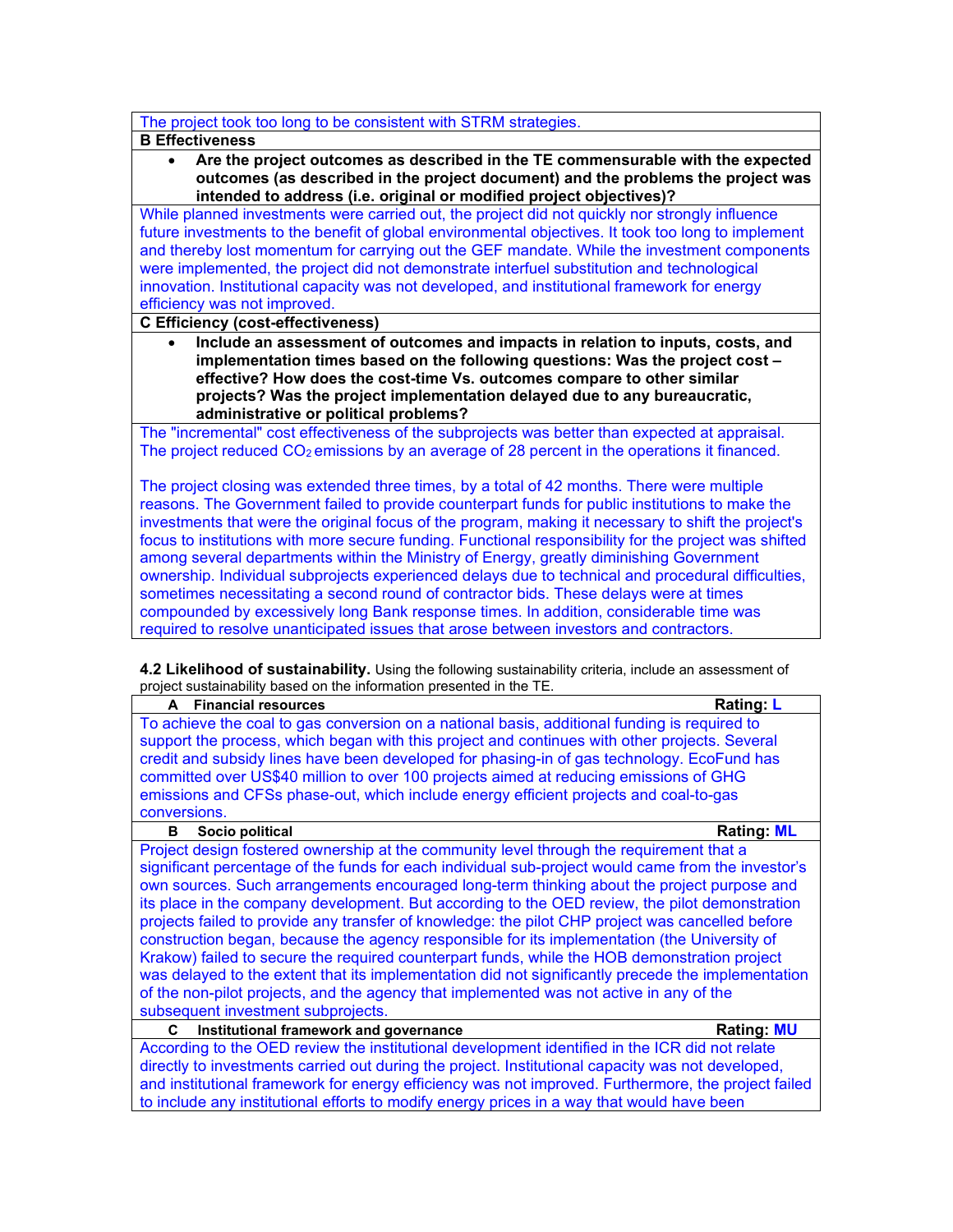## The project took too long to be consistent with STRM strategies.

### **B Effectiveness**

• **Are the project outcomes as described in the TE commensurable with the expected outcomes (as described in the project document) and the problems the project was intended to address (i.e. original or modified project objectives)?** 

While planned investments were carried out, the project did not quickly nor strongly influence future investments to the benefit of global environmental objectives. It took too long to implement and thereby lost momentum for carrying out the GEF mandate. While the investment components were implemented, the project did not demonstrate interfuel substitution and technological innovation. Institutional capacity was not developed, and institutional framework for energy efficiency was not improved.

## **C Efficiency (cost-effectiveness)**

• **Include an assessment of outcomes and impacts in relation to inputs, costs, and implementation times based on the following questions: Was the project cost – effective? How does the cost-time Vs. outcomes compare to other similar projects? Was the project implementation delayed due to any bureaucratic, administrative or political problems?**

The "incremental" cost effectiveness of the subprojects was better than expected at appraisal. The project reduced  $CO<sub>2</sub>$  emissions by an average of 28 percent in the operations it financed.

The project closing was extended three times, by a total of 42 months. There were multiple reasons. The Government failed to provide counterpart funds for public institutions to make the investments that were the original focus of the program, making it necessary to shift the project's focus to institutions with more secure funding. Functional responsibility for the project was shifted among several departments within the Ministry of Energy, greatly diminishing Government ownership. Individual subprojects experienced delays due to technical and procedural difficulties, sometimes necessitating a second round of contractor bids. These delays were at times compounded by excessively long Bank response times. In addition, considerable time was required to resolve unanticipated issues that arose between investors and contractors.

**4.2 Likelihood of sustainability.** Using the following sustainability criteria, include an assessment of project sustainability based on the information presented in the TE.

| <b>Financial resources</b><br>A                                                                     | <b>Rating: L</b>  |
|-----------------------------------------------------------------------------------------------------|-------------------|
| To achieve the coal to gas conversion on a national basis, additional funding is required to        |                   |
| support the process, which began with this project and continues with other projects. Several       |                   |
| credit and subsidy lines have been developed for phasing-in of gas technology. EcoFund has          |                   |
| committed over US\$40 million to over 100 projects aimed at reducing emissions of GHG               |                   |
| emissions and CFSs phase-out, which include energy efficient projects and coal-to-gas               |                   |
| conversions.                                                                                        |                   |
| Socio political<br>в                                                                                | <b>Rating: ML</b> |
| Project design fostered ownership at the community level through the requirement that a             |                   |
| significant percentage of the funds for each individual sub-project would came from the investor's  |                   |
| own sources. Such arrangements encouraged long-term thinking about the project purpose and          |                   |
| its place in the company development. But according to the OED review, the pilot demonstration      |                   |
| projects failed to provide any transfer of knowledge: the pilot CHP project was cancelled before    |                   |
| construction began, because the agency responsible for its implementation (the University of        |                   |
| Krakow) failed to secure the required counterpart funds, while the HOB demonstration project        |                   |
| was delayed to the extent that its implementation did not significantly precede the implementation  |                   |
| of the non-pilot projects, and the agency that implemented was not active in any of the             |                   |
| subsequent investment subprojects.                                                                  |                   |
| Institutional framework and governance<br>C                                                         | <b>Rating: MU</b> |
| According to the OED review the institutional development identified in the ICR did not relate      |                   |
| directly to investments carried out during the project. Institutional capacity was not developed,   |                   |
| and institutional framework for energy efficiency was not improved. Furthermore, the project failed |                   |

to include any institutional efforts to modify energy prices in a way that would have been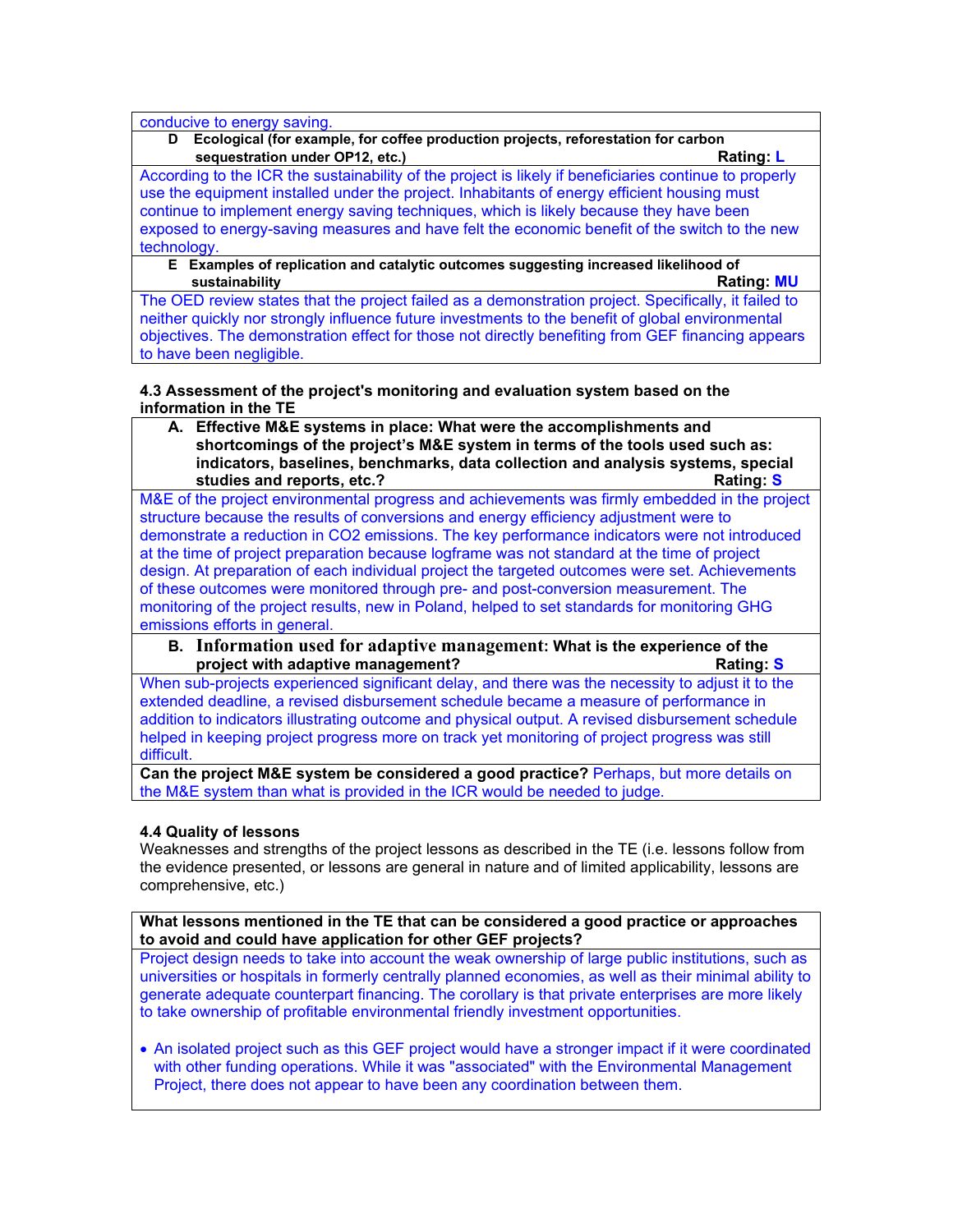conducive to energy saving.

**D Ecological (for example, for coffee production projects, reforestation for carbon sequestration under OP12, etc.)** And the sequestration under OP12, etc.)

According to the ICR the sustainability of the project is likely if beneficiaries continue to properly use the equipment installed under the project. Inhabitants of energy efficient housing must continue to implement energy saving techniques, which is likely because they have been exposed to energy-saving measures and have felt the economic benefit of the switch to the new technology.

**E Examples of replication and catalytic outcomes suggesting increased likelihood of sustainability Rating: MU**

The OED review states that the project failed as a demonstration project. Specifically, it failed to neither quickly nor strongly influence future investments to the benefit of global environmental objectives. The demonstration effect for those not directly benefiting from GEF financing appears to have been negligible.

# **4.3 Assessment of the project's monitoring and evaluation system based on the information in the TE**

**A. Effective M&E systems in place: What were the accomplishments and shortcomings of the project's M&E system in terms of the tools used such as: indicators, baselines, benchmarks, data collection and analysis systems, special studies and reports, etc.? Rating: S**

M&E of the project environmental progress and achievements was firmly embedded in the project structure because the results of conversions and energy efficiency adjustment were to demonstrate a reduction in CO2 emissions. The key performance indicators were not introduced at the time of project preparation because logframe was not standard at the time of project design. At preparation of each individual project the targeted outcomes were set. Achievements of these outcomes were monitored through pre- and post-conversion measurement. The monitoring of the project results, new in Poland, helped to set standards for monitoring GHG emissions efforts in general.

**B. Information used for adaptive management: What is the experience of the project with adaptive management? Rating: S**

When sub-projects experienced significant delay, and there was the necessity to adjust it to the extended deadline, a revised disbursement schedule became a measure of performance in addition to indicators illustrating outcome and physical output. A revised disbursement schedule helped in keeping project progress more on track yet monitoring of project progress was still difficult.

**Can the project M&E system be considered a good practice?** Perhaps, but more details on the M&E system than what is provided in the ICR would be needed to judge.

# **4.4 Quality of lessons**

Weaknesses and strengths of the project lessons as described in the TE (i.e. lessons follow from the evidence presented, or lessons are general in nature and of limited applicability, lessons are comprehensive, etc.)

**What lessons mentioned in the TE that can be considered a good practice or approaches to avoid and could have application for other GEF projects?**

Project design needs to take into account the weak ownership of large public institutions, such as universities or hospitals in formerly centrally planned economies, as well as their minimal ability to generate adequate counterpart financing. The corollary is that private enterprises are more likely to take ownership of profitable environmental friendly investment opportunities.

• An isolated project such as this GEF project would have a stronger impact if it were coordinated with other funding operations. While it was "associated" with the Environmental Management Project, there does not appear to have been any coordination between them.